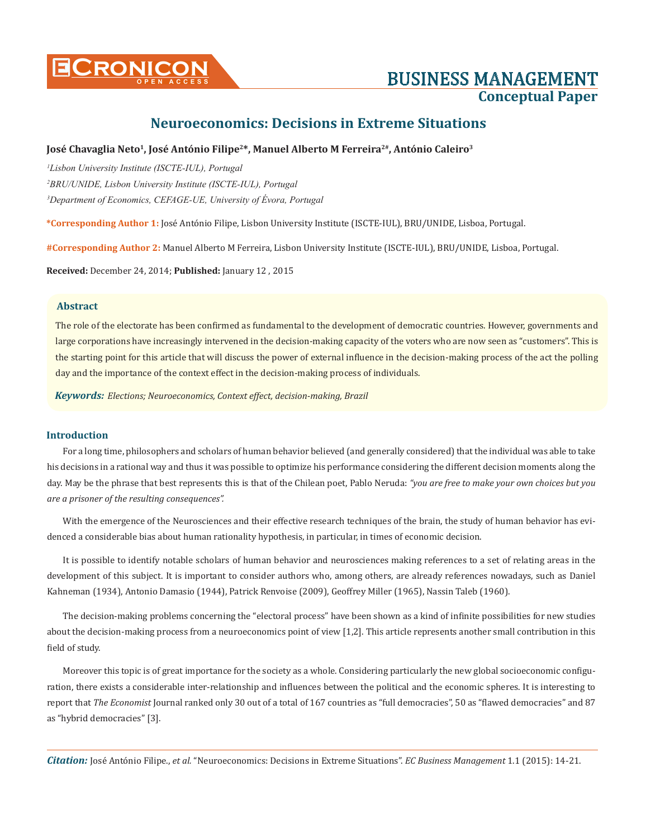

# **Cronicon OPEN ACCESS** BUSINESS MANAGEMENT **Conceptual Paper**

# **Neuroeconomics: Decisions in Extreme Situations**

### **José Chavaglia Neto1, José António Filipe2\*, Manuel Alberto M Ferreira2#, António Caleiro3**

*1 Lisbon University Institute (ISCTE-IUL), Portugal 2 BRU/UNIDE, Lisbon University Institute (ISCTE-IUL), Portugal 3 Department of Economics, CEFAGE-UE, University of Évora, Portugal*

**\*Corresponding Author 1:** José António Filipe, Lisbon University Institute (ISCTE-IUL), BRU/UNIDE, Lisboa, Portugal.

**#Corresponding Author 2:** Manuel Alberto M Ferreira, Lisbon University Institute (ISCTE-IUL), BRU/UNIDE, Lisboa, Portugal.

**Received:** December 24, 2014; **Published:** January 12 , 2015

# **Abstract**

The role of the electorate has been confirmed as fundamental to the development of democratic countries. However, governments and large corporations have increasingly intervened in the decision-making capacity of the voters who are now seen as "customers". This is the starting point for this article that will discuss the power of external influence in the decision-making process of the act the polling day and the importance of the context effect in the decision-making process of individuals.

*Keywords: Elections; Neuroeconomics, Context effect, decision-making, Brazil*

#### **Introduction**

For a long time, philosophers and scholars of human behavior believed (and generally considered) that the individual was able to take his decisions in a rational way and thus it was possible to optimize his performance considering the different decision moments along the day. May be the phrase that best represents this is that of the Chilean poet, Pablo Neruda: *"you are free to make your own choices but you are a prisoner of the resulting consequences".*

With the emergence of the Neurosciences and their effective research techniques of the brain, the study of human behavior has evidenced a considerable bias about human rationality hypothesis, in particular, in times of economic decision.

It is possible to identify notable scholars of human behavior and neurosciences making references to a set of relating areas in the development of this subject. It is important to consider authors who, among others, are already references nowadays, such as Daniel Kahneman (1934), Antonio Damasio (1944), Patrick Renvoise (2009), Geoffrey Miller (1965), Nassin Taleb (1960).

The decision-making problems concerning the "electoral process" have been shown as a kind of infinite possibilities for new studies about the decision-making process from a neuroeconomics point of view [1,2]. This article represents another small contribution in this field of study.

Moreover this topic is of great importance for the society as a whole. Considering particularly the new global socioeconomic configuration, there exists a considerable inter-relationship and influences between the political and the economic spheres. It is interesting to report that *The Economist* Journal ranked only 30 out of a total of 167 countries as "full democracies", 50 as "flawed democracies" and 87 as "hybrid democracies" [3].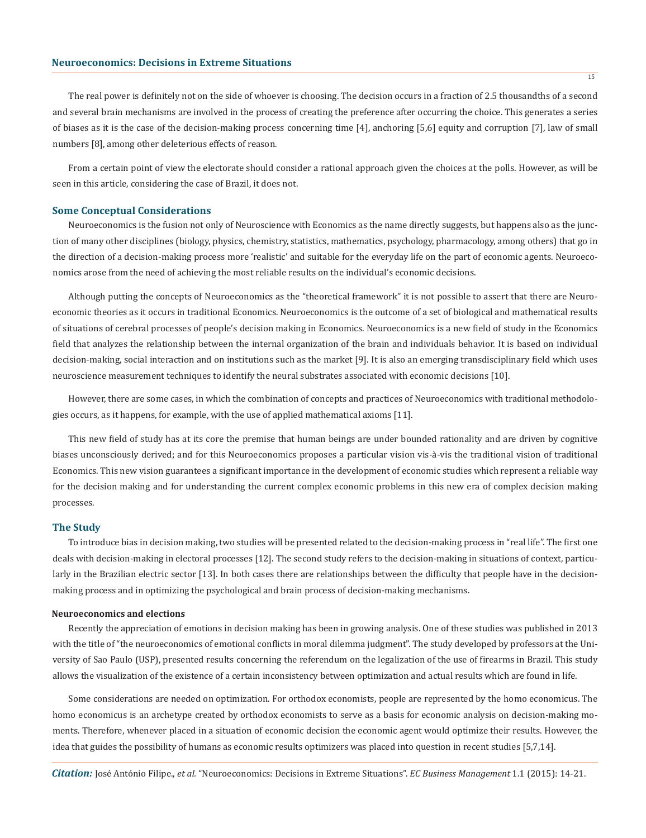The real power is definitely not on the side of whoever is choosing. The decision occurs in a fraction of 2.5 thousandths of a second and several brain mechanisms are involved in the process of creating the preference after occurring the choice. This generates a series of biases as it is the case of the decision-making process concerning time [4], anchoring [5,6] equity and corruption [7], law of small numbers [8], among other deleterious effects of reason.

From a certain point of view the electorate should consider a rational approach given the choices at the polls. However, as will be seen in this article, considering the case of Brazil, it does not.

#### **Some Conceptual Considerations**

Neuroeconomics is the fusion not only of Neuroscience with Economics as the name directly suggests, but happens also as the junction of many other disciplines (biology, physics, chemistry, statistics, mathematics, psychology, pharmacology, among others) that go in the direction of a decision-making process more 'realistic' and suitable for the everyday life on the part of economic agents. Neuroeconomics arose from the need of achieving the most reliable results on the individual's economic decisions.

Although putting the concepts of Neuroeconomics as the "theoretical framework" it is not possible to assert that there are Neuroeconomic theories as it occurs in traditional Economics. Neuroeconomics is the outcome of a set of biological and mathematical results of situations of cerebral processes of people's decision making in Economics. Neuroeconomics is a new field of study in the Economics field that analyzes the relationship between the internal organization of the brain and individuals behavior. It is based on individual decision-making, social interaction and on institutions such as the market [9]. It is also an emerging transdisciplinary field which uses neuroscience measurement techniques to identify the neural substrates associated with economic decisions [10].

However, there are some cases, in which the combination of concepts and practices of Neuroeconomics with traditional methodologies occurs, as it happens, for example, with the use of applied mathematical axioms [11].

This new field of study has at its core the premise that human beings are under bounded rationality and are driven by cognitive biases unconsciously derived; and for this Neuroeconomics proposes a particular vision vis-à-vis the traditional vision of traditional Economics. This new vision guarantees a significant importance in the development of economic studies which represent a reliable way for the decision making and for understanding the current complex economic problems in this new era of complex decision making processes.

#### **The Study**

To introduce bias in decision making, two studies will be presented related to the decision-making process in "real life". The first one deals with decision-making in electoral processes [12]. The second study refers to the decision-making in situations of context, particularly in the Brazilian electric sector [13]. In both cases there are relationships between the difficulty that people have in the decisionmaking process and in optimizing the psychological and brain process of decision-making mechanisms.

#### **Neuroeconomics and elections**

Recently the appreciation of emotions in decision making has been in growing analysis. One of these studies was published in 2013 with the title of "the neuroeconomics of emotional conflicts in moral dilemma judgment". The study developed by professors at the University of Sao Paulo (USP), presented results concerning the referendum on the legalization of the use of firearms in Brazil. This study allows the visualization of the existence of a certain inconsistency between optimization and actual results which are found in life.

Some considerations are needed on optimization. For orthodox economists, people are represented by the homo economicus. The homo economicus is an archetype created by orthodox economists to serve as a basis for economic analysis on decision-making moments. Therefore, whenever placed in a situation of economic decision the economic agent would optimize their results. However, the idea that guides the possibility of humans as economic results optimizers was placed into question in recent studies [5,7,14].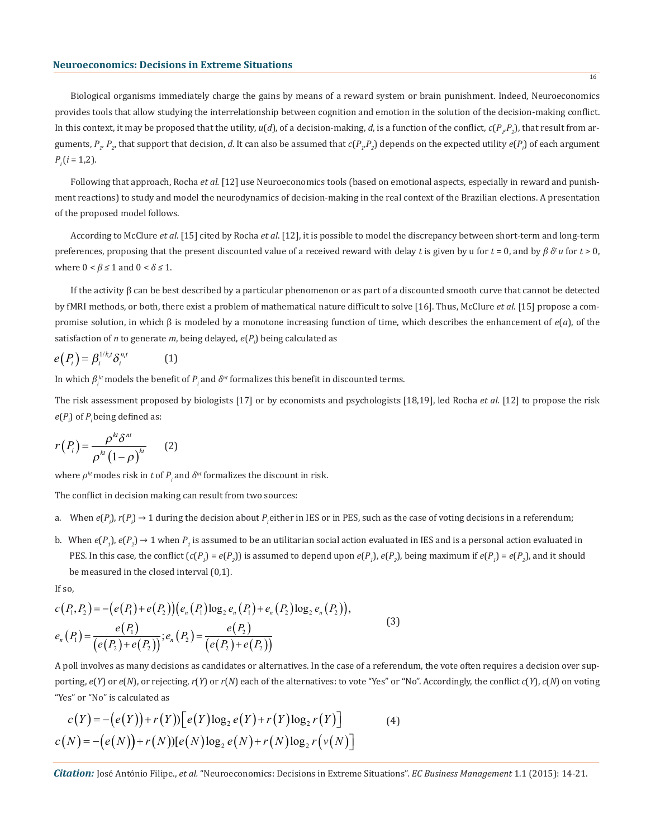Biological organisms immediately charge the gains by means of a reward system or brain punishment. Indeed, Neuroeconomics provides tools that allow studying the interrelationship between cognition and emotion in the solution of the decision-making conflict. In this context, it may be proposed that the utility,  $u(d)$ , of a decision-making, *d*, is a function of the conflict,  $c(P_{\gamma}P_{2})$ , that result from arguments,  $P_{p}$ ,  $P_{p}$ , that support that decision, *d*. It can also be assumed that  $c(P_{p}P_{p})$  depends on the expected utility  $e(P_{p})$  of each argument  $P_i (i = 1,2)$ .

Following that approach, Rocha *et al.* [12] use Neuroeconomics tools (based on emotional aspects, especially in reward and punishment reactions) to study and model the neurodynamics of decision-making in the real context of the Brazilian elections. A presentation of the proposed model follows.

According to McClure *et al*. [15] cited by Rocha *et al*. [12], it is possible to model the discrepancy between short-term and long-term preferences, proposing that the present discounted value of a received reward with delay *t* is given by u for *t* = 0, and by *β δt u* for *t* > 0, where  $0 < \beta \leq 1$  and  $0 < \delta \leq 1$ .

If the activity β can be best described by a particular phenomenon or as part of a discounted smooth curve that cannot be detected by fMRI methods, or both, there exist a problem of mathematical nature difficult to solve [16]. Thus, McClure *et al*. [15] propose a compromise solution, in which β is modeled by a monotone increasing function of time, which describes the enhancement of *e*(*a*), of the satisfaction of *n* to generate *m*, being delayed, *e*(*Pi* ) being calculated as

$$
e(P_i) = \beta_i^{1/k_i t} \delta_i^{n_i t} \tag{1}
$$

In which  $\beta_i^{kt}$  models the benefit of  $P_i$  and  $\delta^{nt}$  formalizes this benefit in discounted terms.

The risk assessment proposed by biologists [17] or by economists and psychologists [18,19], led Rocha *et al*. [12] to propose the risk  $e(P_i)$  of  $P_i$  being defined as:

$$
r(P_i) = \frac{\rho^{kt} \delta^{nt}}{\rho^{kt} (1 - \rho)^{kt}}
$$
 (2)

where  $\rho^{kt}$  modes risk in  $t$  of  $P_{i}$  and  $\delta^{nt}$  formalizes the discount in risk.

The conflict in decision making can result from two sources:

- a. When  $e(P_i)$ ,  $r(P_i) \to 1$  during the decision about  $P_i$  either in IES or in PES, such as the case of voting decisions in a referendum;
- b. When  $e(P_1)$ ,  $e(P_2) \to 1$  when  $P_1$  is assumed to be an utilitarian social action evaluated in IES and is a personal action evaluated in PES. In this case, the conflict  $(c(P_1) = e(P_2))$  is assumed to depend upon  $e(P_1)$ ,  $e(P_2)$ , being maximum if  $e(P_1) = e(P_2)$ , and it should be measured in the closed interval (0,1).

If so,

$$
c(P_1, P_2) = -(e(P_1) + e(P_2))(e_n(P_1) \log_2 e_n(P_1) + e_n(P_2) \log_2 e_n(P_2)),
$$
  
\n
$$
e_n(P_1) = \frac{e(P_1)}{(e(P_2) + e(P_2))}; e_n(P_2) = \frac{e(P_2)}{(e(P_2) + e(P_2))}
$$
\n(3)

A poll involves as many decisions as candidates or alternatives. In the case of a referendum, the vote often requires a decision over supporting,  $e(Y)$  or  $e(N)$ , or rejecting,  $r(Y)$  or  $r(N)$  each of the alternatives: to vote "Yes" or "No". Accordingly, the conflict  $c(Y)$ ,  $c(N)$  on voting "Yes" or "No" is calculated as

$$
c(Y) = -(e(Y)) + r(Y)) [e(Y) \log_2 e(Y) + r(Y) \log_2 r(Y)]
$$
\n(4)  
\n
$$
c(N) = -(e(N)) + r(N)) [e(N) \log_2 e(N) + r(N) \log_2 r(v(N))]
$$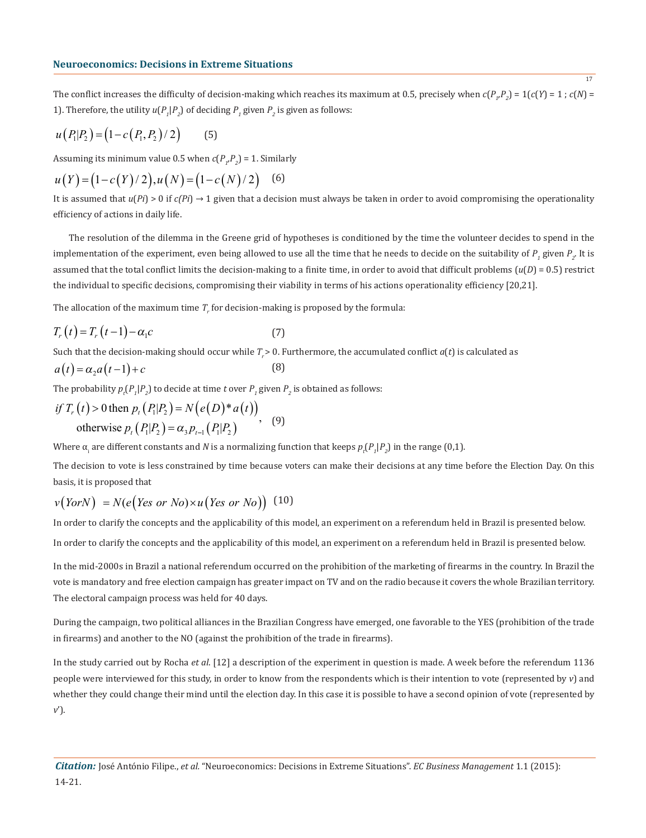The conflict increases the difficulty of decision-making which reaches its maximum at 0.5, precisely when  $c(P_{\mu}P_{2}) = 1(c(Y) = 1; c(N) = 1)$ 1). Therefore, the utility  $u(P_1|P_2)$  of deciding  $P_1$  given  $P_2$  is given as follows:

$$
u(P_1|P_2) = (1 - c(P_1, P_2) / 2) \tag{5}
$$

Assuming its minimum value 0.5 when  $c(P_p P_2) = 1$ . Similarly

$$
u(Y) = (1 - c(Y)/2), u(N) = (1 - c(N)/2) \quad (6)
$$

It is assumed that  $u(Pi) > 0$  if  $c(Pi) \rightarrow 1$  given that a decision must always be taken in order to avoid compromising the operationality efficiency of actions in daily life.

The resolution of the dilemma in the Greene grid of hypotheses is conditioned by the time the volunteer decides to spend in the implementation of the experiment, even being allowed to use all the time that he needs to decide on the suitability of  $P_1$  given  $P_2$ . It is assumed that the total conflict limits the decision-making to a finite time, in order to avoid that difficult problems  $(u(D) = 0.5)$  restrict the individual to specific decisions, compromising their viability in terms of his actions operationality efficiency [20,21].

The allocation of the maximum time  $T_r$  for decision-making is proposed by the formula:

$$
T_r(t) = T_r(t-1) - \alpha_1 c \tag{7}
$$

Such that the decision-making should occur while  $T > 0$ . Furthermore, the accumulated conflict  $a(t)$  is calculated as

$$
a(t) = \alpha_2 a(t-1) + c \tag{8}
$$

The probability  $p_t(P_1|P_2)$  to decide at time *t* over  $P_1$  given  $P_2$  is obtained as follows:

if 
$$
T_r(t) > 0
$$
 then  $p_t(P_1|P_2) = N(e(D)*a(t))$   
otherwise  $p_t(P_1|P_2) = \alpha_3 p_{t-1}(P_1|P_2)$ , (9)

Where  $\alpha_i$  are different constants and  $N$  is a normalizing function that keeps  $p_t(P_1|P_2)$  in the range (0,1).

The decision to vote is less constrained by time because voters can make their decisions at any time before the Election Day. On this basis, it is proposed that

$$
v\big( \text{York} \big) = N(e \big( \text{Yes or No}) \times u \big( \text{Yes or No} \big) \big) \tag{10}
$$

In order to clarify the concepts and the applicability of this model, an experiment on a referendum held in Brazil is presented below.

In order to clarify the concepts and the applicability of this model, an experiment on a referendum held in Brazil is presented below.

In the mid-2000s in Brazil a national referendum occurred on the prohibition of the marketing of firearms in the country. In Brazil the vote is mandatory and free election campaign has greater impact on TV and on the radio because it covers the whole Brazilian territory. The electoral campaign process was held for 40 days.

During the campaign, two political alliances in the Brazilian Congress have emerged, one favorable to the YES (prohibition of the trade in firearms) and another to the NO (against the prohibition of the trade in firearms).

In the study carried out by Rocha *et al*. [12] a description of the experiment in question is made. A week before the referendum 1136 people were interviewed for this study, in order to know from the respondents which is their intention to vote (represented by *v*) and whether they could change their mind until the election day. In this case it is possible to have a second opinion of vote (represented by *v*').

17

*Citation:* José António Filipe., *et al.* "Neuroeconomics: Decisions in Extreme Situations". *EC Business Management* 1.1 (2015): 14-21.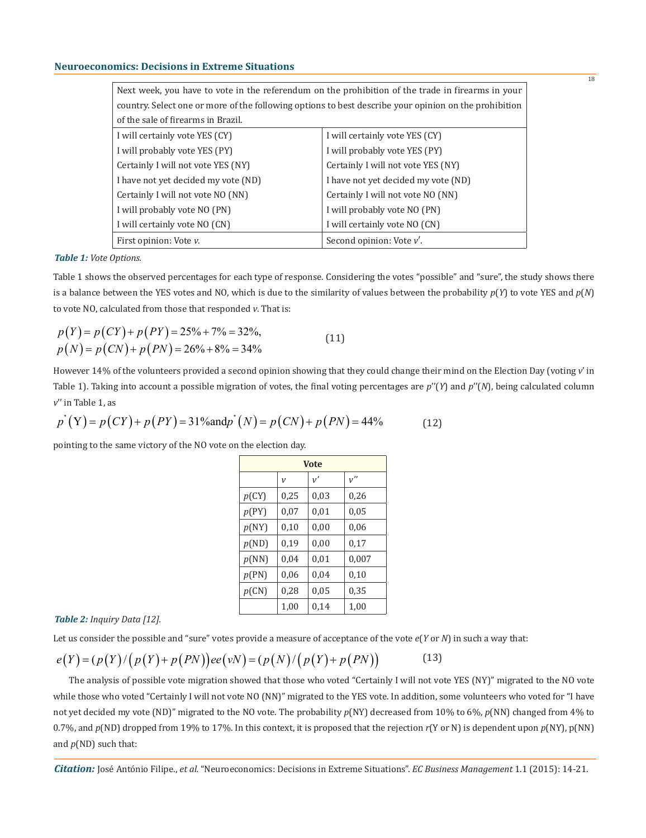#### **Neuroeconomics: Decisions in Extreme Situations**

| Next week, you have to vote in the referendum on the prohibition of the trade in firearms in your     |                                     |  |  |
|-------------------------------------------------------------------------------------------------------|-------------------------------------|--|--|
| country. Select one or more of the following options to best describe your opinion on the prohibition |                                     |  |  |
| of the sale of firearms in Brazil.                                                                    |                                     |  |  |
| I will certainly vote YES (CY)                                                                        | I will certainly vote YES (CY)      |  |  |
| I will probably vote YES (PY)                                                                         | I will probably vote YES (PY)       |  |  |
| Certainly I will not vote YES (NY)                                                                    | Certainly I will not vote YES (NY)  |  |  |
| I have not yet decided my vote (ND)                                                                   | I have not yet decided my vote (ND) |  |  |
| Certainly I will not vote NO (NN)                                                                     | Certainly I will not vote NO (NN)   |  |  |
| I will probably vote NO (PN)                                                                          | I will probably vote NO (PN)        |  |  |
| I will certainly vote NO (CN)                                                                         | I will certainly vote NO (CN)       |  |  |
| First opinion: Vote v.                                                                                | Second opinion: Vote v'.            |  |  |

*Table 1: Vote Options.*

Table 1 shows the observed percentages for each type of response. Considering the votes "possible" and "sure", the study shows there is a balance between the YES votes and NO, which is due to the similarity of values between the probability *p*(*Y*) to vote YES and *p*(*N*) to vote NO, calculated from those that responded *v*. That is:

$$
p(Y) = p(CY) + p(PY) = 25\% + 7\% = 32\%,
$$
  
\n
$$
p(N) = p(CN) + p(PN) = 26\% + 8\% = 34\%
$$
\n(11)

However 14% of the volunteers provided a second opinion showing that they could change their mind on the Election Day (voting *v*' in Table 1). Taking into account a possible migration of votes, the final voting percentages are *p*''(*Y*) and *p*''(*N*), being calculated column *v*'' in Table 1, as

$$
p^{*}(Y) = p(CY) + p(PY) = 31\% and p^{*}(N) = p(CN) + p(PN) = 44\% \tag{12}
$$

pointing to the same victory of the NO vote on the election day.

| <b>Vote</b> |                |      |       |
|-------------|----------------|------|-------|
|             | $\overline{V}$ | v'   | v''   |
| p(CY)       | 0,25           | 0,03 | 0,26  |
| p(PY)       | 0,07           | 0,01 | 0,05  |
| p(NY)       | 0,10           | 0,00 | 0,06  |
| p(ND)       | 0,19           | 0,00 | 0,17  |
| p(NN)       | 0,04           | 0,01 | 0,007 |
| p(PN)       | 0,06           | 0,04 | 0,10  |
| p(CN)       | 0,28           | 0,05 | 0,35  |
|             | 1,00           | 0,14 | 1,00  |

#### *Table 2: Inquiry Data [12].*

Let us consider the possible and "sure" votes provide a measure of acceptance of the vote *e*(*Y* or *N*) in such a way that:

#### (13)  $e(Y) = (p(Y) / (p(Y) + p(PN))) e e(\nu N) = (p(N) / (p(Y) + p(PN))$

The analysis of possible vote migration showed that those who voted "Certainly I will not vote YES (NY)" migrated to the NO vote while those who voted "Certainly I will not vote NO (NN)" migrated to the YES vote. In addition, some volunteers who voted for "I have not yet decided my vote (ND)" migrated to the NO vote. The probability *p*(NY) decreased from 10% to 6%, *p*(NN) changed from 4% to 0.7%, and *p*(ND) dropped from 19% to 17%. In this context, it is proposed that the rejection *r*(Y or N) is dependent upon *p*(NY), p(NN) and *p*(ND) such that: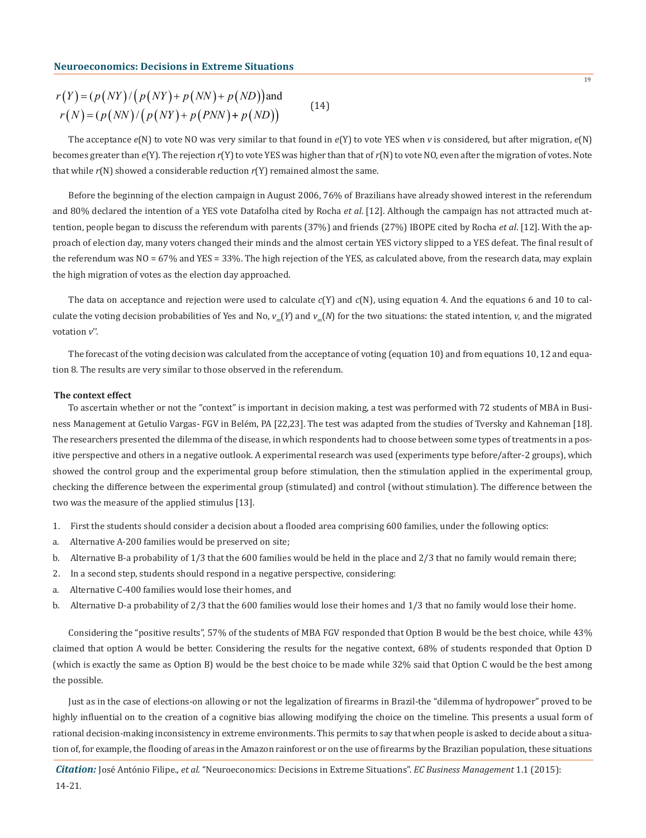$$
r(Y) = (p(NY)/(p(NY) + p(NN)) + p(ND))
$$
and  

$$
r(N) = (p(NN)/(p(NY) + p(PNN) + p(ND))
$$
 (14)

The acceptance *e*(N) to vote NO was very similar to that found in *e*(Y) to vote YES when *v* is considered, but after migration, *e*(N) becomes greater than *e*(Y). The rejection *r*(Y) to vote YES was higher than that of *r*(N) to vote NO, even after the migration of votes. Note that while *r*(N) showed a considerable reduction *r*(Y) remained almost the same.

Before the beginning of the election campaign in August 2006, 76% of Brazilians have already showed interest in the referendum and 80% declared the intention of a YES vote Datafolha cited by Rocha *et al*. [12]. Although the campaign has not attracted much attention, people began to discuss the referendum with parents (37%) and friends (27%) IBOPE cited by Rocha *et al*. [12]. With the approach of election day, many voters changed their minds and the almost certain YES victory slipped to a YES defeat. The final result of the referendum was NO = 67% and YES = 33%. The high rejection of the YES, as calculated above, from the research data, may explain the high migration of votes as the election day approached.

The data on acceptance and rejection were used to calculate *c*(Y) and *c*(N), using equation 4. And the equations 6 and 10 to calculate the voting decision probabilities of Yes and No,  $v_m(Y)$  and  $v_m(N)$  for the two situations: the stated intention, *v*, and the migrated votation *v*''.

The forecast of the voting decision was calculated from the acceptance of voting (equation 10) and from equations 10, 12 and equation 8. The results are very similar to those observed in the referendum.

#### **The context effect**

To ascertain whether or not the "context" is important in decision making, a test was performed with 72 students of MBA in Business Management at Getulio Vargas- FGV in Belém, PA [22,23]. The test was adapted from the studies of Tversky and Kahneman [18]. The researchers presented the dilemma of the disease, in which respondents had to choose between some types of treatments in a positive perspective and others in a negative outlook. A experimental research was used (experiments type before/after-2 groups), which showed the control group and the experimental group before stimulation, then the stimulation applied in the experimental group, checking the difference between the experimental group (stimulated) and control (without stimulation). The difference between the two was the measure of the applied stimulus [13].

- 1. First the students should consider a decision about a flooded area comprising 600 families, under the following optics:
- a. Alternative A-200 families would be preserved on site;
- b. Alternative B-a probability of 1/3 that the 600 families would be held in the place and 2/3 that no family would remain there;
- 2. In a second step, students should respond in a negative perspective, considering:
- a. Alternative C-400 families would lose their homes, and
- b. Alternative D-a probability of 2/3 that the 600 families would lose their homes and 1/3 that no family would lose their home.

Considering the "positive results", 57% of the students of MBA FGV responded that Option B would be the best choice, while 43% claimed that option A would be better. Considering the results for the negative context, 68% of students responded that Option D (which is exactly the same as Option B) would be the best choice to be made while 32% said that Option C would be the best among the possible.

Just as in the case of elections-on allowing or not the legalization of firearms in Brazil-the "dilemma of hydropower" proved to be highly influential on to the creation of a cognitive bias allowing modifying the choice on the timeline. This presents a usual form of rational decision-making inconsistency in extreme environments. This permits to say that when people is asked to decide about a situation of, for example, the flooding of areas in the Amazon rainforest or on the use of firearms by the Brazilian population, these situations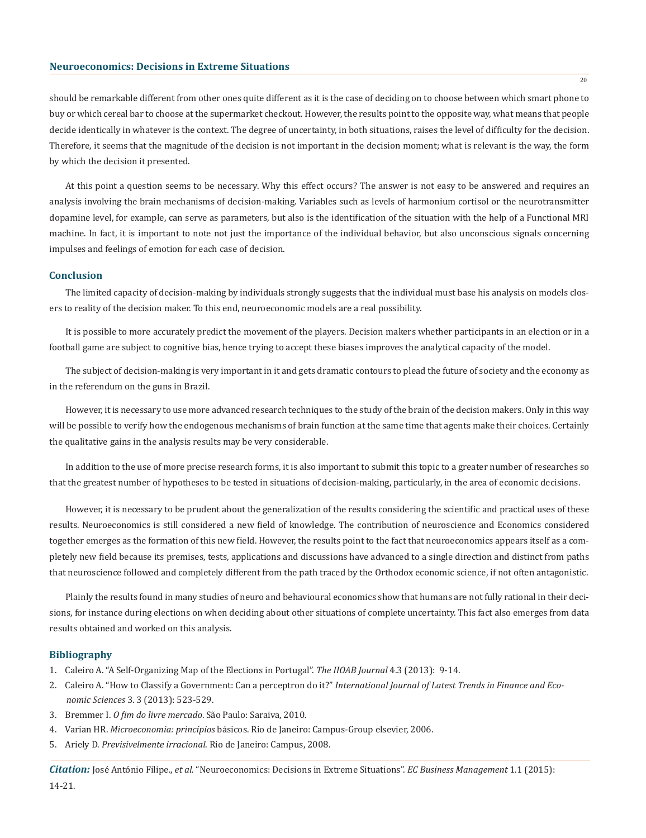should be remarkable different from other ones quite different as it is the case of deciding on to choose between which smart phone to buy or which cereal bar to choose at the supermarket checkout. However, the results point to the opposite way, what means that people decide identically in whatever is the context. The degree of uncertainty, in both situations, raises the level of difficulty for the decision. Therefore, it seems that the magnitude of the decision is not important in the decision moment; what is relevant is the way, the form by which the decision it presented.

At this point a question seems to be necessary. Why this effect occurs? The answer is not easy to be answered and requires an analysis involving the brain mechanisms of decision-making. Variables such as levels of harmonium cortisol or the neurotransmitter dopamine level, for example, can serve as parameters, but also is the identification of the situation with the help of a Functional MRI machine. In fact, it is important to note not just the importance of the individual behavior, but also unconscious signals concerning impulses and feelings of emotion for each case of decision.

#### **Conclusion**

The limited capacity of decision-making by individuals strongly suggests that the individual must base his analysis on models closers to reality of the decision maker. To this end, neuroeconomic models are a real possibility.

It is possible to more accurately predict the movement of the players. Decision makers whether participants in an election or in a football game are subject to cognitive bias, hence trying to accept these biases improves the analytical capacity of the model.

The subject of decision-making is very important in it and gets dramatic contours to plead the future of society and the economy as in the referendum on the guns in Brazil.

However, it is necessary to use more advanced research techniques to the study of the brain of the decision makers. Only in this way will be possible to verify how the endogenous mechanisms of brain function at the same time that agents make their choices. Certainly the qualitative gains in the analysis results may be very considerable.

In addition to the use of more precise research forms, it is also important to submit this topic to a greater number of researches so that the greatest number of hypotheses to be tested in situations of decision-making, particularly, in the area of economic decisions.

However, it is necessary to be prudent about the generalization of the results considering the scientific and practical uses of these results. Neuroeconomics is still considered a new field of knowledge. The contribution of neuroscience and Economics considered together emerges as the formation of this new field. However, the results point to the fact that neuroeconomics appears itself as a completely new field because its premises, tests, applications and discussions have advanced to a single direction and distinct from paths that neuroscience followed and completely different from the path traced by the Orthodox economic science, if not often antagonistic.

Plainly the results found in many studies of neuro and behavioural economics show that humans are not fully rational in their decisions, for instance during elections on when deciding about other situations of complete uncertainty. This fact also emerges from data results obtained and worked on this analysis.

# **Bibliography**

- 1. Caleiro A. "A Self-Organizing Map of the Elections in Portugal". *The IIOAB Journal* 4.3 (2013): 9-14.
- 2. Caleiro A. "How to Classify a Government: Can a perceptron do it?" *International Journal of Latest Trends in Finance and Eco nomic Sciences* 3. 3 (2013): 523-529.
- 3. Bremmer I. *O fim do livre mercado*. São Paulo: Saraiva, 2010.
- 4. Varian HR. *Microeconomia: princípios* básicos. Rio de Janeiro: Campus-Group elsevier, 2006.
- 5. Ariely D. *Previsivelmente irracional*. Rio de Janeiro: Campus, 2008.